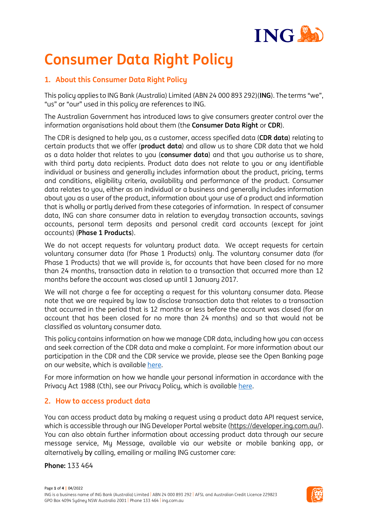

# **Consumer Data Right Policy**

# **1. About this Consumer Data Right Policy**

This policy applies to ING Bank (Australia) Limited (ABN 24 000 893 292)(**ING**). The terms "we", "us" or "our" used in this policy are references to ING.

The Australian Government has introduced laws to give consumers greater control over the information organisations hold about them (the **Consumer Data Right** or **CDR**).

The CDR is designed to help you, as a customer, access specified data (**CDR data**) relating to certain products that we offer (**product data**) and allow us to share CDR data that we hold as a data holder that relates to you (**consumer data**) and that you authorise us to share, with third party data recipients. Product data does not relate to you or any identifiable individual or business and generally includes information about the product, pricing, terms and conditions, eligibility criteria, availability and performance of the product. Consumer data relates to you, either as an individual or a business and generally includes information about you as a user of the product, information about your use of a product and information that is wholly or partly derived from these categories of information. In respect of consumer data, ING can share consumer data in relation to everyday transaction accounts, savings accounts, personal term deposits and personal credit card accounts (except for joint accounts) (**Phase 1 Products**).

We do not accept requests for voluntary product data. We accept requests for certain voluntary consumer data (for Phase 1 Products) only. The voluntary consumer data (for Phase 1 Products) that we will provide is, for accounts that have been closed for no more than 24 months, transaction data in relation to a transaction that occurred more than 12 months before the account was closed up until 1 January 2017.

We will not charge a fee for accepting a request for this voluntary consumer data. Please note that we are required by law to disclose transaction data that relates to a transaction that occurred in the period that is 12 months or less before the account was closed (for an account that has been closed for no more than 24 months) and so that would not be classified as voluntary consumer data.

This policy contains information on how we manage CDR data, including how you can access and seek correction of the CDR data and make a complaint. For more information about our participation in the CDR and the CDR service we provide, please see the Open Banking page on our website, which is availabl[e here.](https://www.ing.com.au/open-banking.html)

For more information on how we handle your personal information in accordance with the Privacy Act 1988 (Cth), see our Privacy Policy, which is available [here.](https://www.ing.com.au/privacy.html)

## **2. How to access product data**

You can access product data by making a request using a product data API request service, which is accessible through our ING Developer Portal website [\(https://developer.ing.com.au/\)](https://developer.ing.com.au/). You can also obtain further information about accessing product data through our secure message service, My Message, available via our website or mobile banking app, or alternatively by calling, emailing or mailing ING customer care:

**Phone:** 133 464

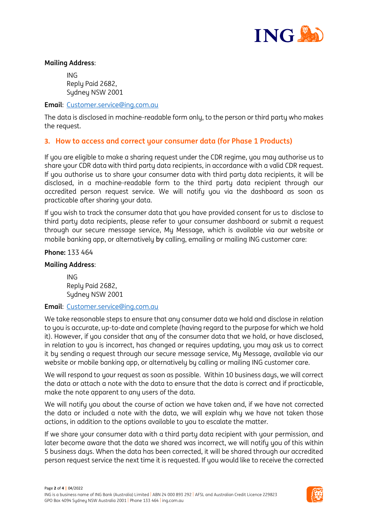

#### **Mailing Address**:

ING Reply Paid 2682, Sydney NSW 2001

#### **Email**: [Customer.service@ing.com.au](mailto:Customer.service@ing.com.au)

The data is disclosed in machine-readable form only, to the person or third party who makes the request.

### **3. How to access and correct your consumer data (for Phase 1 Products)**

If you are eligible to make a sharing request under the CDR regime, you may authorise us to share your CDR data with third party data recipients, in accordance with a valid CDR request. If you authorise us to share your consumer data with third party data recipients, it will be disclosed, in a machine-readable form to the third party data recipient through our accredited person request service. We will notify you via the dashboard as soon as practicable after sharing your data.

If you wish to track the consumer data that you have provided consent for us to disclose to third party data recipients, please refer to your consumer dashboard or submit a request through our secure message service, My Message, which is available via our website or mobile banking app, or alternatively by calling, emailing or mailing ING customer care:

#### **Phone:** 133 464

#### **Mailing Address**:

ING Reply Paid 2682, Sydney NSW 2001

#### **Email**: [Customer.service@ing.com.au](mailto:Customer.service@ing.com.au)

We take reasonable steps to ensure that any consumer data we hold and disclose in relation to you is accurate, up-to-date and complete (having regard to the purpose for which we hold it). However, if you consider that any of the consumer data that we hold, or have disclosed, in relation to you is incorrect, has changed or requires updating, you may ask us to correct it by sending a request through our secure message service, My Message, available via our website or mobile banking app, or alternatively by calling or mailing ING customer care.

We will respond to your request as soon as possible. Within 10 business days, we will correct the data or attach a note with the data to ensure that the data is correct and if practicable, make the note apparent to any users of the data.

We will notify you about the course of action we have taken and, if we have not corrected the data or included a note with the data, we will explain why we have not taken those actions, in addition to the options available to you to escalate the matter.

If we share your consumer data with a third party data recipient with your permission, and later become aware that the data we shared was incorrect, we will notifu you of this within 5 business days. When the data has been corrected, it will be shared through our accredited person request service the next time it is requested. If you would like to receive the corrected

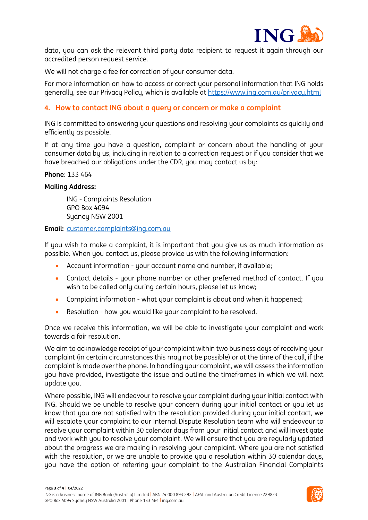

data, you can ask the relevant third party data recipient to request it again through our accredited person request service.

We will not charge a fee for correction of your consumer data.

For more information on how to access or correct your personal information that ING holds generally, see our Privacy Policy, which is available at https://www.ing.com.au/privacy.html

## **4. How to contact ING about a query or concern or make a complaint**

ING is committed to answering your questions and resolving your complaints as quickly and efficiently as possible.

If at any time you have a question, complaint or concern about the handling of your consumer data by us, including in relation to a correction request or if you consider that we have breached our obligations under the CDR, you may contact us by:

#### **Phone**: 133 464

#### **Mailing Address:**

ING - Complaints Resolution GPO Box 4094 Sydney NSW 2001

**Email:** [customer.complaints@ing.com.au](mailto:customer.complaints@ing.com.au) 

If you wish to make a complaint, it is important that you give us as much information as possible. When you contact us, please provide us with the following information:

- Account information your account name and number, if available;
- Contact details your phone number or other preferred method of contact. If you wish to be called only during certain hours, please let us know;
- Complaint information what your complaint is about and when it happened;
- Resolution how you would like your complaint to be resolved.

Once we receive this information, we will be able to investigate your complaint and work towards a fair resolution.

We aim to acknowledge receipt of your complaint within two business days of receiving your complaint (in certain circumstances this may not be possible) or at the time of the call, if the complaint is made over the phone. In handling your complaint, we will assess the information you have provided, investigate the issue and outline the timeframes in which we will next update you.

Where possible, ING will endeavour to resolve your complaint during your initial contact with ING. Should we be unable to resolve your concern during your initial contact or you let us know that you are not satisfied with the resolution provided during your initial contact, we will escalate your complaint to our Internal Dispute Resolution team who will endeavour to resolve your complaint within 30 calendar days from your initial contact and will investigate and work with you to resolve your complaint. We will ensure that you are regularly updated about the progress we are making in resolving your complaint. Where you are not satisfied with the resolution, or we are unable to provide you a resolution within 30 calendar days, you have the option of referring your complaint to the Australian Financial Complaints